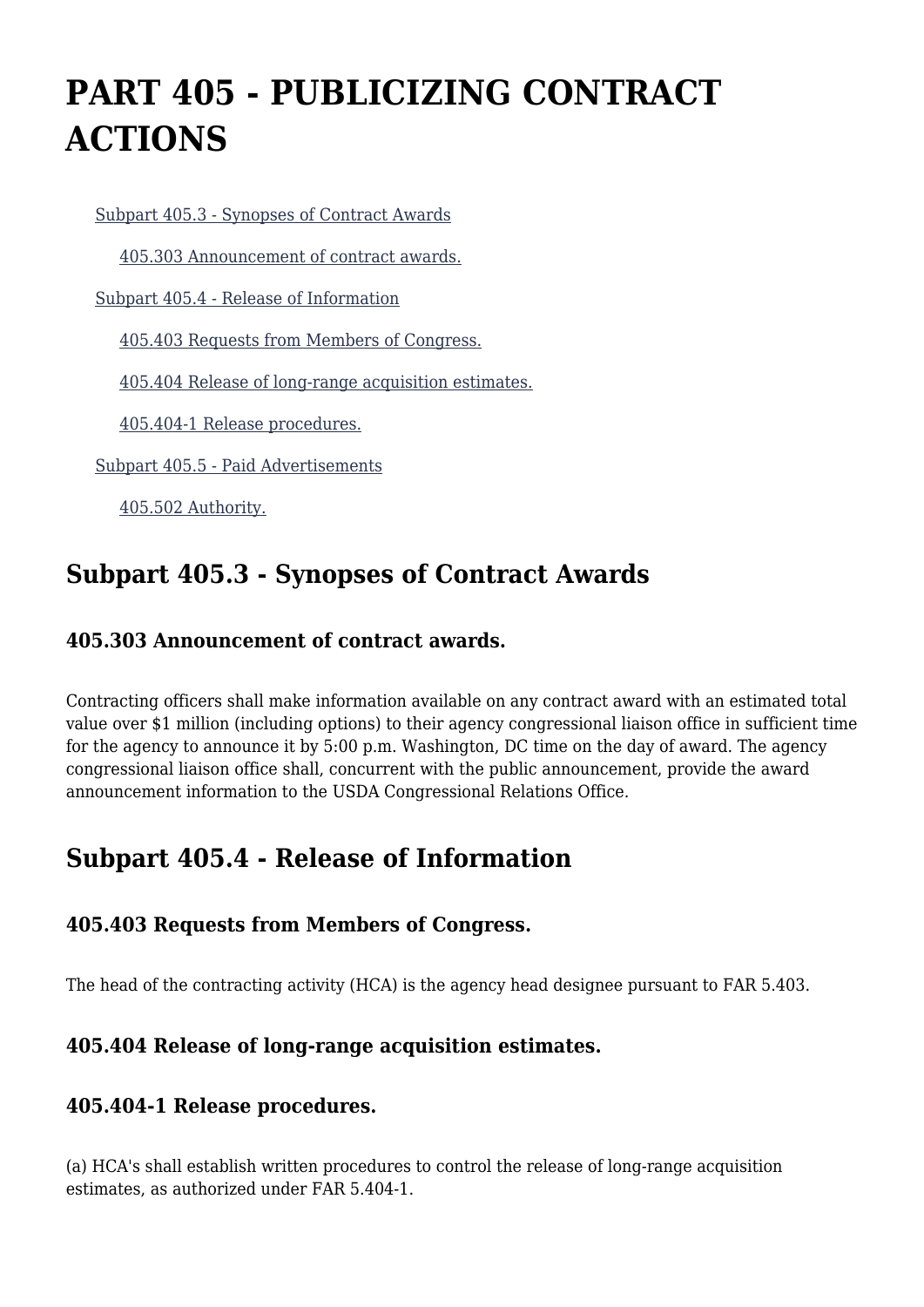# **PART 405 - PUBLICIZING CONTRACT ACTIONS**

[Subpart 405.3 - Synopses of Contract Awards](https://origin-www.acquisition.gov/%5Brp:link:agar-part-405%5D#Subpart_405_3_T48_4021261)

[405.303 Announcement of contract awards.](https://origin-www.acquisition.gov/%5Brp:link:agar-part-405%5D#Section_405_303_T48_402126111)

[Subpart 405.4 - Release of Information](https://origin-www.acquisition.gov/%5Brp:link:agar-part-405%5D#Subpart_405_4_T48_4021262)

[405.403 Requests from Members of Congress.](https://origin-www.acquisition.gov/%5Brp:link:agar-part-405%5D#Section_405_403_T48_402126211)

[405.404 Release of long-range acquisition estimates.](https://origin-www.acquisition.gov/%5Brp:link:agar-part-405%5D#Section_405_404_T48_402126212)

[405.404-1 Release procedures.](https://origin-www.acquisition.gov/%5Brp:link:agar-part-405%5D#Section_405_404_1_T48_402126213)

[Subpart 405.5 - Paid Advertisements](https://origin-www.acquisition.gov/%5Brp:link:agar-part-405%5D#Subpart_405_5_T48_4021263)

[405.502 Authority.](https://origin-www.acquisition.gov/%5Brp:link:agar-part-405%5D#Section_405_502_T48_402126311)

### **Subpart 405.3 - Synopses of Contract Awards**

#### **405.303 Announcement of contract awards.**

Contracting officers shall make information available on any contract award with an estimated total value over \$1 million (including options) to their agency congressional liaison office in sufficient time for the agency to announce it by 5:00 p.m. Washington, DC time on the day of award. The agency congressional liaison office shall, concurrent with the public announcement, provide the award announcement information to the USDA Congressional Relations Office.

### **Subpart 405.4 - Release of Information**

#### **405.403 Requests from Members of Congress.**

The head of the contracting activity (HCA) is the agency head designee pursuant to FAR 5.403.

#### **405.404 Release of long-range acquisition estimates.**

#### **405.404-1 Release procedures.**

(a) HCA's shall establish written procedures to control the release of long-range acquisition estimates, as authorized under FAR 5.404-1.